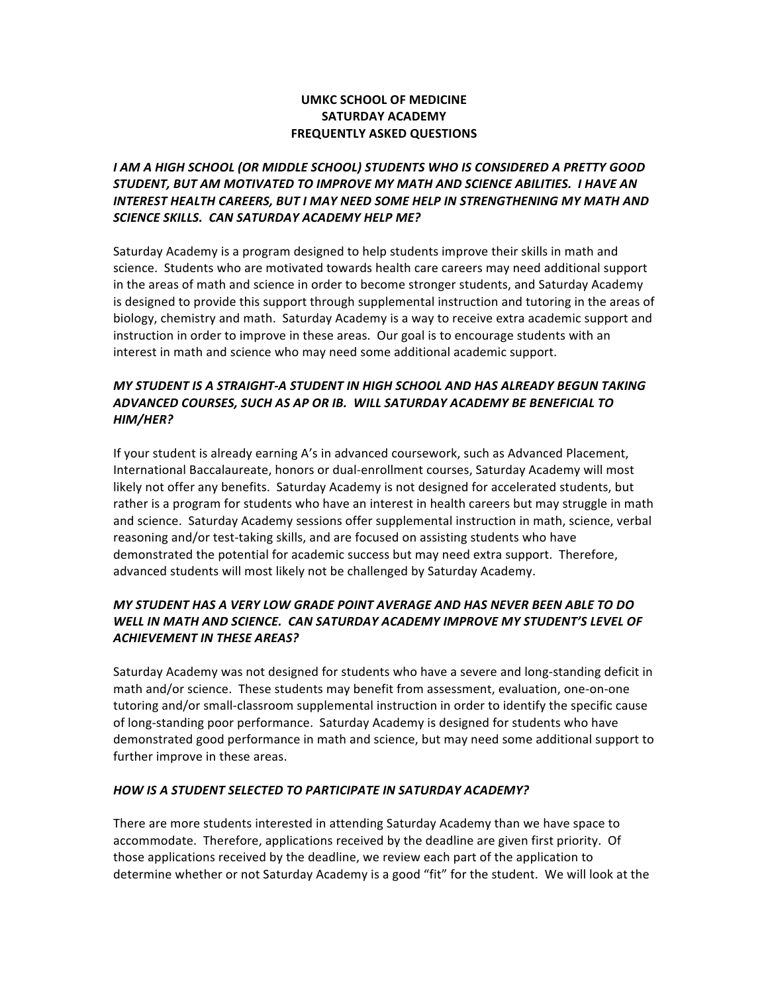## **UMKC SCHOOL OF MEDICINE SATURDAY ACADEMY FREQUENTLY ASKED QUESTIONS**

# I AM A HIGH SCHOOL (OR MIDDLE SCHOOL) STUDENTS WHO IS CONSIDERED A PRETTY GOOD STUDENT, BUT AM MOTIVATED TO IMPROVE MY MATH AND SCIENCE ABILITIES. I HAVE AN INTEREST HEALTH CAREERS, BUT *I MAY NEED SOME HELP IN STRENGTHENING MY MATH AND* SCIENCE SKILLS. CAN SATURDAY ACADEMY HELP ME?

Saturday Academy is a program designed to help students improve their skills in math and science. Students who are motivated towards health care careers may need additional support in the areas of math and science in order to become stronger students, and Saturday Academy is designed to provide this support through supplemental instruction and tutoring in the areas of biology, chemistry and math. Saturday Academy is a way to receive extra academic support and instruction in order to improve in these areas. Our goal is to encourage students with an interest in math and science who may need some additional academic support.

## *MY"STUDENT"IS"A"STRAIGHT<A"STUDENT"IN"HIGH"SCHOOL"AND"HAS"ALREADY"BEGUN"TAKING" ADVANCED"COURSES,"SUCH"AS"AP"OR"IB.""WILL"SATURDAY"ACADEMY"BE"BENEFICIAL"TO" HIM/HER?*

If your student is already earning A's in advanced coursework, such as Advanced Placement, International Baccalaureate, honors or dual-enrollment courses, Saturday Academy will most likely not offer any benefits. Saturday Academy is not designed for accelerated students, but rather is a program for students who have an interest in health careers but may struggle in math and science. Saturday Academy sessions offer supplemental instruction in math, science, verbal reasoning and/or test-taking skills, and are focused on assisting students who have demonstrated the potential for academic success but may need extra support. Therefore, advanced students will most likely not be challenged by Saturday Academy.

# *MY"STUDENT"HAS"A"VERY"LOW"GRADE"POINT"AVERAGE"AND"HAS"NEVER"BEEN"ABLE"TO"DO"* WELL IN MATH AND SCIENCE. CAN SATURDAY ACADEMY IMPROVE MY STUDENT'S LEVEL OF **ACHIEVEMENT IN THESE AREAS?**

Saturday Academy was not designed for students who have a severe and long-standing deficit in math and/or science. These students may benefit from assessment, evaluation, one-on-one tutoring and/or small-classroom supplemental instruction in order to identify the specific cause of long-standing poor performance. Saturday Academy is designed for students who have demonstrated good performance in math and science, but may need some additional support to further improve in these areas.

### HOW IS A STUDENT SELECTED TO PARTICIPATE IN SATURDAY ACADEMY?

There are more students interested in attending Saturday Academy than we have space to accommodate. Therefore, applications received by the deadline are given first priority. Of those applications received by the deadline, we review each part of the application to determine whether or not Saturday Academy is a good "fit" for the student. We will look at the